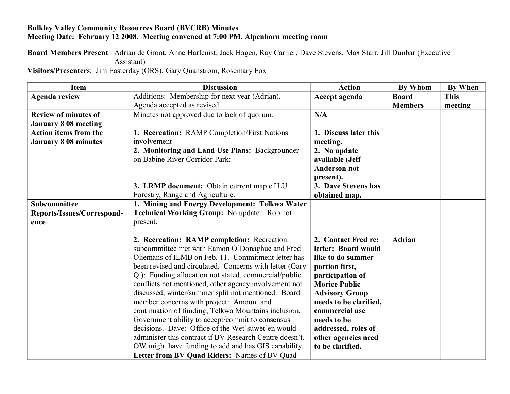## **Bulkley Valley Community Resources Board (BVCRB) Minutes Meeting Date: February 12 2008. Meeting convened at 7:00 PM, Alpenhorn meeting room**

**Board Members Present**: Adrian de Groot, Anne Harfenist, Jack Hagen, Ray Carrier, Dave Stevens, Max Starr, Jill Dunbar (Executive Assistant)

**Visitors/Presenters**: Jim Easterday (ORS), Gary Quanstrom, Rosemary Fox

| <b>Item</b>                  | <b>Discussion</b>                                       | <b>Action</b>          | <b>By Whom</b> | <b>By When</b> |
|------------------------------|---------------------------------------------------------|------------------------|----------------|----------------|
| <b>Agenda review</b>         | Additions: Membership for next year (Adrian).           | Accept agenda          | <b>Board</b>   | <b>This</b>    |
|                              | Agenda accepted as revised.                             |                        | <b>Members</b> | meeting        |
| <b>Review of minutes of</b>  | Minutes not approved due to lack of quorum.             | N/A                    |                |                |
| <b>January 8 08 meeting</b>  |                                                         |                        |                |                |
| <b>Action items from the</b> | 1. Recreation: RAMP Completion/First Nations            | 1. Discuss later this  |                |                |
| <b>January 8 08 minutes</b>  | involvement                                             | meeting.               |                |                |
|                              | 2. Monitoring and Land Use Plans: Backgrounder          | 2. No update           |                |                |
|                              | on Babine River Corridor Park:                          | available (Jeff        |                |                |
|                              |                                                         | <b>Anderson not</b>    |                |                |
|                              |                                                         | present).              |                |                |
|                              | 3. LRMP document: Obtain current map of LU              | 3. Dave Stevens has    |                |                |
|                              | Forestry, Range and Agriculture.                        | obtained map.          |                |                |
| <b>Subcommittee</b>          | 1. Mining and Energy Development: Telkwa Water          |                        |                |                |
| Reports/Issues/Correspond-   | <b>Technical Working Group:</b> No update – Rob not     |                        |                |                |
| ence                         | present.                                                |                        |                |                |
|                              |                                                         |                        |                |                |
|                              | 2. Recreation: RAMP completion: Recreation              | 2. Contact Fred re:    | <b>Adrian</b>  |                |
|                              | subcommittee met with Eamon O'Donaghue and Fred         | letter: Board would    |                |                |
|                              | Oliemans of ILMB on Feb. 11. Commitment letter has      | like to do summer      |                |                |
|                              | been revised and circulated. Concerns with letter (Gary | portion first,         |                |                |
|                              | Q.): Funding allocation not stated, commercial/public   | participation of       |                |                |
|                              | conflicts not mentioned, other agency involvement not   | <b>Morice Public</b>   |                |                |
|                              | discussed, winter/summer split not mentioned. Board     | <b>Advisory Group</b>  |                |                |
|                              | member concerns with project: Amount and                | needs to be clarified, |                |                |
|                              | continuation of funding, Telkwa Mountains inclusion,    | commercial use         |                |                |
|                              | Government ability to accept/commit to consensus        | needs to be            |                |                |
|                              | decisions. Dave: Office of the Wet'suwet'en would       | addressed, roles of    |                |                |
|                              | administer this contract if BV Research Centre doesn't. | other agencies need    |                |                |
|                              | OW might have funding to add and has GIS capability.    | to be clarified.       |                |                |
|                              | Letter from BV Quad Riders: Names of BV Quad            |                        |                |                |